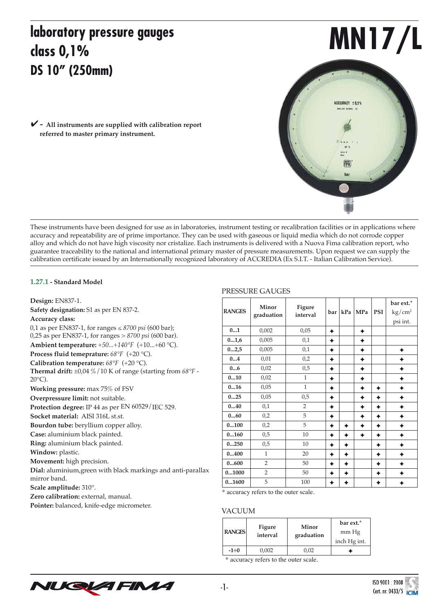# **laboratory pressure gauges class 0,1% DS 10" (250mm)**

**MN17/L**

ACCURACY ± 0.1%

FiMA har

*-* **All instruments are supplied with calibration report**  ✔**referred to master primary instrument.**

These instruments have been designed for use as in laboratories, instrument testing or recalibration facilities or in applications where accuracy and repeatability are of prime importance. They can be used with gaseous or liquid media which do not corrode copper alloy and which do not have high viscosity nor cristalize. Each instruments is delivered with a Nuova Fima calibration report, who guarantee traceability to the national and international primary master of pressure measurements. Upon request we can supply the calibration certificate issued by an Internationally recognized laboratory of ACCREDIA (Ex S.I.T. - Italian Calibration Service).

### **1.27.1 - Standard Model**

**Design:** EN837-1. **Safety designation:** S1 as per EN 837-2. **Accuracy class:** 0,1 as per EN837-1, for ranges ≤ *8700 psi* (600 bar); 0,25 as per EN837-1, for ranges > *8700 psi* (600 bar). **Ambient temperature:** *+50...+140°F* (+10...+60 °C). **Process fluid temeprature:** *68°F* (+20 °C). **Calibration temperature:** *68°F* (+20 °C). **Thermal drift:** ±0,04 %/10 K of range (starting from *68°F* -  $20^{\circ}$ C). **Working pressure:** max 75% of FSV **Overpressure limit:** not suitable. **Protection degree:** IP 44 as per EN 60529/IEC 529. **Socket material:** AISI 316L st.st. **Bourdon tube:** beryllium copper alloy. **Case:** aluminium black painted. **Ring:** aluminium black painted. **Window:** plastic. **Movement:** high precision. **Dial:** aluminium,green with black markings and anti-parallax mirror band. **Scale amplitude:** 310°. Zero calibration: external, manual. **Pointer:** balanced, knife-edge micrometer.

### PRESSURE GAUGES

| <b>RANGES</b> | Minor<br>graduation | Figure<br>interval | bar | kPa | <b>MPa</b> | <b>PSI</b> | bar ext.*<br>$\text{kg}/\text{cm}^2$<br>psi int. |
|---------------|---------------------|--------------------|-----|-----|------------|------------|--------------------------------------------------|
| 01            | 0,002               | 0,05               | ✦   |     | ۰          |            |                                                  |
| 01,6          | 0,005               | 0,1                | ✦   |     |            |            |                                                  |
| 02,5          | 0,005               | 0,1                | ✦   |     |            |            |                                                  |
| 04            | 0,01                | 0,2                | ۰   |     |            |            |                                                  |
| 06            | 0,02                | 0,5                | ۰   |     |            |            |                                                  |
| 010           | 0,02                | 1                  | ۰   |     |            |            |                                                  |
| 016           | 0,05                | $\mathbf{1}$       | ✦   |     | ۰          | ۰          |                                                  |
| 025           | 0,05                | 0,5                | ۰   |     |            | ٠          |                                                  |
| 040           | 0,1                 | $\overline{2}$     | ۰   |     |            | ۰          |                                                  |
| 060           | 0,2                 | 5                  | ۰   |     |            | ۰          |                                                  |
| 0100          | 0,2                 | 5                  | ۰   | ۰   | ۰          | ۰          |                                                  |
| 0160          | 0,5                 | 10                 | ✦   |     | ۰          | ۰          |                                                  |
| 0250          | 0,5                 | 10                 | ٠   |     |            | ✦          |                                                  |
| 0400          | $\mathbf{1}$        | 20                 | ✦   |     |            | ٠          |                                                  |
| 0600          | $\overline{2}$      | 50                 | ۰   |     |            | ٠          |                                                  |
| 01000         | $\overline{2}$      | 50                 | ۰   |     |            | ۰          |                                                  |
| 01600         | 5                   | 100                |     |     |            |            |                                                  |

\* accuracy refers to the outer scale.

#### VACUUM

| <b>RANGES</b> | Figure<br>interval | Minor<br>graduation | bar ext.*<br>mm Hg<br>inch Hg int. |  |  |
|---------------|--------------------|---------------------|------------------------------------|--|--|
| $-1 \div 0$   | 0,002              | 0.02                |                                    |  |  |

\* accuracy refers to the outer scale.



-1-